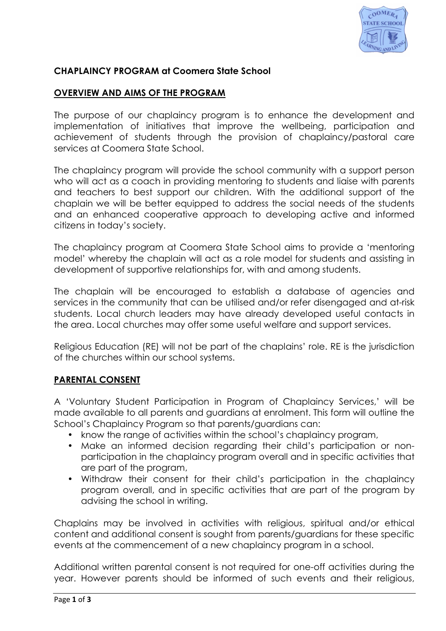

### **CHAPLAINCY PROGRAM at Coomera State School**

#### **OVERVIEW AND AIMS OF THE PROGRAM**

The purpose of our chaplaincy program is to enhance the development and implementation of initiatives that improve the wellbeing, participation and achievement of students through the provision of chaplaincy/pastoral care services at Coomera State School.

The chaplaincy program will provide the school community with a support person who will act as a coach in providing mentoring to students and liaise with parents and teachers to best support our children. With the additional support of the chaplain we will be better equipped to address the social needs of the students and an enhanced cooperative approach to developing active and informed citizens in today's society.

The chaplaincy program at Coomera State School aims to provide a 'mentoring model' whereby the chaplain will act as a role model for students and assisting in development of supportive relationships for, with and among students.

The chaplain will be encouraged to establish a database of agencies and services in the community that can be utilised and/or refer disengaged and at-risk students. Local church leaders may have already developed useful contacts in the area. Local churches may offer some useful welfare and support services.

Religious Education (RE) will not be part of the chaplains' role. RE is the jurisdiction of the churches within our school systems.

#### **PARENTAL CONSENT**

A 'Voluntary Student Participation in Program of Chaplaincy Services,' will be made available to all parents and guardians at enrolment. This form will outline the School's Chaplaincy Program so that parents/guardians can:

- know the range of activities within the school's chaplaincy program,
- Make an informed decision regarding their child's participation or nonparticipation in the chaplaincy program overall and in specific activities that are part of the program,
- Withdraw their consent for their child's participation in the chaplaincy program overall, and in specific activities that are part of the program by advising the school in writing.

Chaplains may be involved in activities with religious, spiritual and/or ethical content and additional consent is sought from parents/guardians for these specific events at the commencement of a new chaplaincy program in a school.

Additional written parental consent is not required for one-off activities during the year. However parents should be informed of such events and their religious,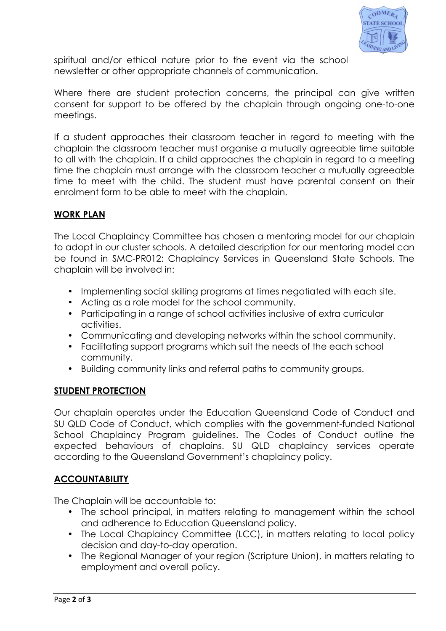

spiritual and/or ethical nature prior to the event via the school newsletter or other appropriate channels of communication.

Where there are student protection concerns, the principal can give written consent for support to be offered by the chaplain through ongoing one-to-one meetings.

If a student approaches their classroom teacher in regard to meeting with the chaplain the classroom teacher must organise a mutually agreeable time suitable to all with the chaplain. If a child approaches the chaplain in regard to a meeting time the chaplain must arrange with the classroom teacher a mutually agreeable time to meet with the child. The student must have parental consent on their enrolment form to be able to meet with the chaplain.

# **WORK PLAN**

The Local Chaplaincy Committee has chosen a mentoring model for our chaplain to adopt in our cluster schools. A detailed description for our mentoring model can be found in SMC-PR012: Chaplaincy Services in Queensland State Schools. The chaplain will be involved in:

- Implementing social skilling programs at times negotiated with each site.
- Acting as a role model for the school community.
- Participating in a range of school activities inclusive of extra curricular activities.
- Communicating and developing networks within the school community.
- Facilitating support programs which suit the needs of the each school community.
- Building community links and referral paths to community groups.

# **STUDENT PROTECTION**

Our chaplain operates under the Education Queensland Code of Conduct and SU QLD Code of Conduct, which complies with the government-funded National School Chaplaincy Program guidelines. The Codes of Conduct outline the expected behaviours of chaplains. SU QLD chaplaincy services operate according to the Queensland Government's chaplaincy policy.

# **ACCOUNTABILITY**

The Chaplain will be accountable to:

- The school principal, in matters relating to management within the school and adherence to Education Queensland policy.
- The Local Chaplaincy Committee (LCC), in matters relating to local policy decision and day-to-day operation.
- The Regional Manager of your region (Scripture Union), in matters relating to employment and overall policy.